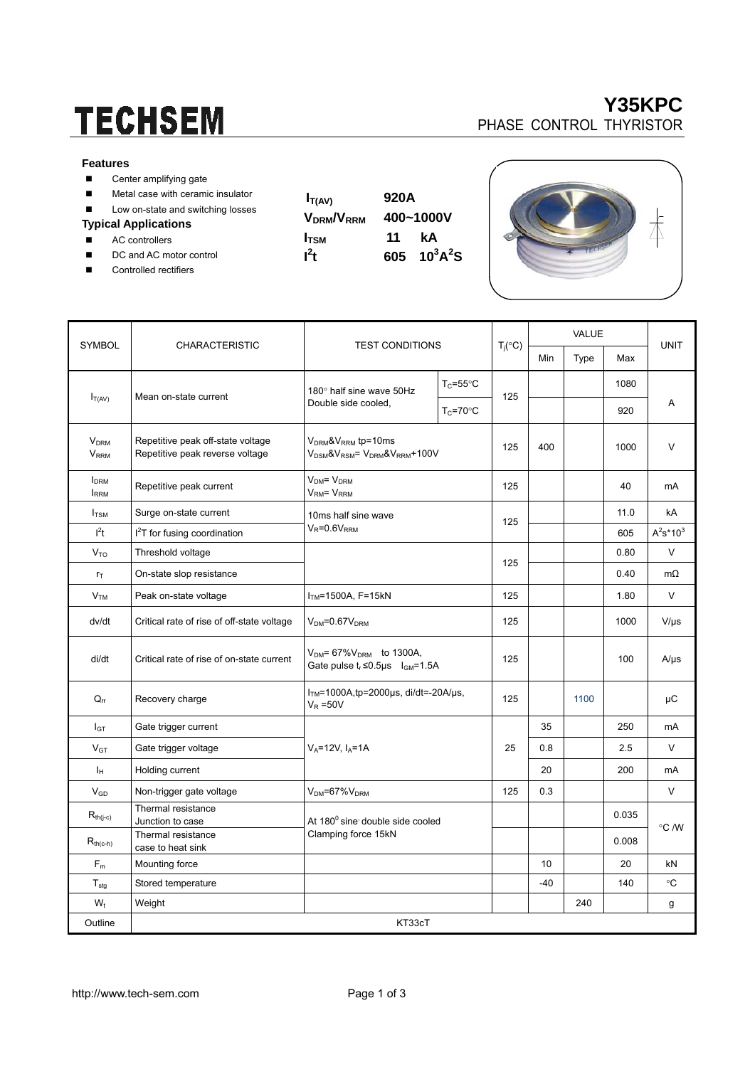# **TECHSEM**

#### **Features**

- Center amplifying gate
- **Metal case with ceramic insulator**
- Low on-state and switching losses

#### **Typical Applications**

- AC controllers
- DC and AC motor control
- Controlled rectifiers

| V DRMI V I       |  |
|------------------|--|
| $I_{\text{TSM}}$ |  |
| $l^2t$           |  |





| <b>SYMBOL</b>                                     | <b>CHARACTERISTIC</b>                                                | <b>TEST CONDITIONS</b>                                                             |                      |                    | <b>VALUE</b> |      |              |             |  |
|---------------------------------------------------|----------------------------------------------------------------------|------------------------------------------------------------------------------------|----------------------|--------------------|--------------|------|--------------|-------------|--|
|                                                   |                                                                      |                                                                                    |                      | $T_j({}^{\circ}C)$ | Min          | Type | Max          | <b>UNIT</b> |  |
|                                                   | Mean on-state current                                                | 180° half sine wave 50Hz<br>Double side cooled,                                    | $T_c = 55^{\circ}$ C |                    |              |      | 1080         |             |  |
| $I_{T(AV)}$                                       |                                                                      |                                                                                    | $T_c = 70$ °C        | 125                |              |      | 920          | A           |  |
| <b>V<sub>DRM</sub></b><br><b>V</b> <sub>RRM</sub> | Repetitive peak off-state voltage<br>Repetitive peak reverse voltage | $VDRM$ & $VRRM$ tp=10ms<br>$V_{DSM}$ & $V_{RSM}$ = $V_{DRM}$ & $V_{RRM}$ +100V     |                      | 125                | 400          |      | 1000         | V           |  |
| <b>I</b> <sub>DRM</sub><br><b>IRRM</b>            | Repetitive peak current                                              | $VDM = VDRM$<br>V <sub>RM</sub> = V <sub>RRM</sub>                                 | 125                  |                    |              | 40   | mA           |             |  |
| $I_{TSM}$                                         | Surge on-state current                                               | 10ms half sine wave                                                                |                      | 125                |              |      | 11.0         | kA          |  |
| I <sup>2</sup> t                                  | I <sup>2</sup> T for fusing coordination                             | $V_R = 0.6V_{RRM}$                                                                 |                      |                    |              | 605  | $A^2s^*10^3$ |             |  |
| V <sub>TO</sub>                                   | Threshold voltage                                                    |                                                                                    |                      |                    |              |      | 0.80         | $\vee$      |  |
| $r_{\text{T}}$                                    | On-state slop resistance                                             |                                                                                    | 125                  |                    |              | 0.40 | $m\Omega$    |             |  |
| V <sub>TM</sub>                                   | Peak on-state voltage                                                | $ITM=1500A, F=15kN$                                                                | 125                  |                    |              | 1.80 | V            |             |  |
| dv/dt                                             | Critical rate of rise of off-state voltage                           | $VDM=0.67VDRM$                                                                     | 125                  |                    |              | 1000 | $V/\mu s$    |             |  |
| di/dt                                             | Critical rate of rise of on-state current                            | $V_{DM}$ = 67% $V_{DRM}$ to 1300A,<br>Gate pulse $t_r \le 0.5$ µs $I_{GM} = 1.5$ A | 125                  |                    |              | 100  | $A/\mu s$    |             |  |
| $Q_{rr}$                                          | Recovery charge                                                      | $ITM=1000A$ , tp=2000 $\mu$ s, di/dt=-20A/ $\mu$ s,<br>$V_R = 50V$                 |                      | 125                |              | 1100 |              | μC          |  |
| $I_{GT}$                                          | Gate trigger current                                                 |                                                                                    |                      |                    | 35           |      | 250          | mA          |  |
| $V_{GT}$                                          | Gate trigger voltage                                                 | $V_A = 12V$ , $I_A = 1A$                                                           |                      | 25                 | 0.8          |      | 2.5          | V           |  |
| Iн                                                | Holding current                                                      |                                                                                    |                      |                    | 20           |      | 200          | mA          |  |
| $V_{GD}$                                          | Non-trigger gate voltage                                             | $VDM=67%VDRM$                                                                      |                      | 125                | 0.3          |      |              | V           |  |
| $R_{\text{th}(j\text{-}c)}$                       | Thermal resistance<br>Junction to case                               | At 180° sine double side cooled<br>Clamping force 15kN                             |                      |                    |              |      | 0.035        |             |  |
| $R_{th(c-h)}$                                     | Thermal resistance<br>case to heat sink                              |                                                                                    |                      |                    |              |      | 0.008        | °C /W       |  |
| $F_m$                                             | Mounting force                                                       |                                                                                    |                      |                    | 10           |      | 20           | kN          |  |
| $\mathsf{T}_{\text{stg}}$                         | Stored temperature                                                   |                                                                                    |                      |                    | $-40$        |      | 140          | $^{\circ}C$ |  |
| $W_t$                                             | Weight                                                               |                                                                                    |                      |                    |              | 240  |              | g           |  |
| Outline                                           | KT33cT                                                               |                                                                                    |                      |                    |              |      |              |             |  |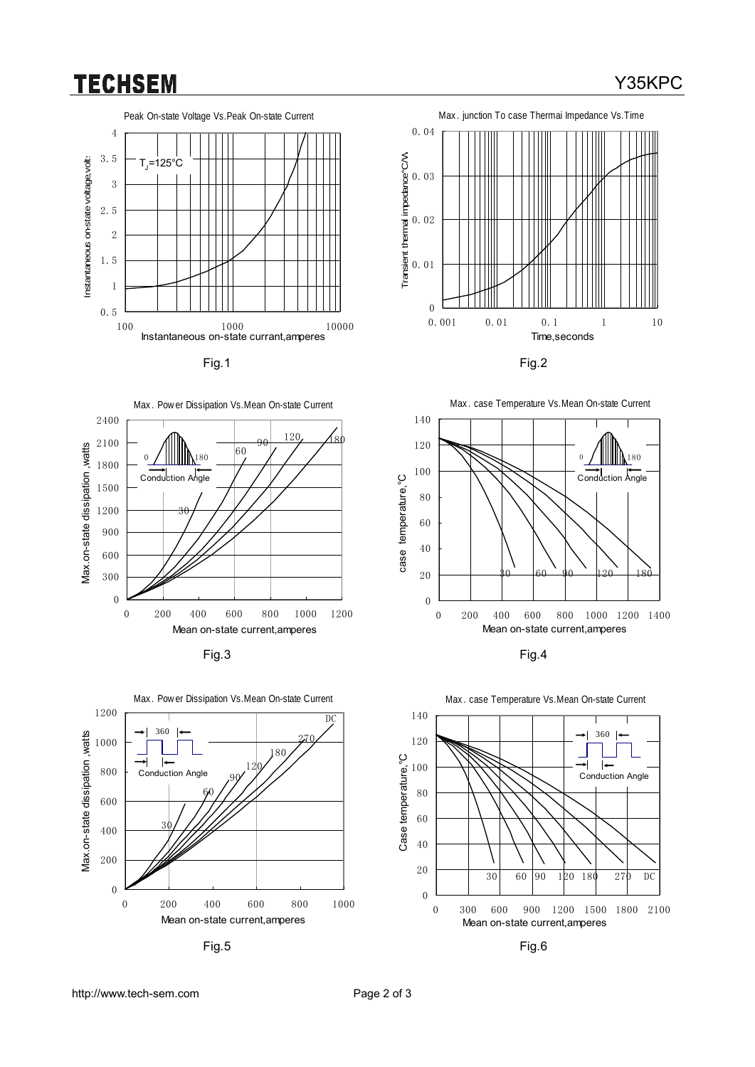## **TECHSEM**

### Peak On-state Voltage Vs.Peak On-state Current 4 3.5 Instantaneous on-state voltage, volts Instantaneous on-state voltage,volts  $T = 125$ °C 3 2.5 2 1.5 1 0.5 100 1000 10000 Instantaneous on-state currant,amperes





















# Fig.1 Fig.2

http://www.tech-sem.com Page 2 of 3